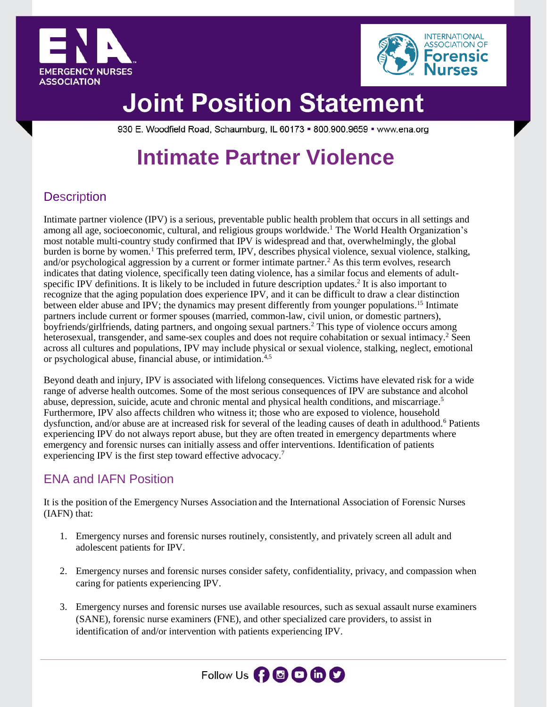



930 E. Woodfield Road, Schaumburg, IL 60173 = 800.900.9659 = www.ena.org

### **Intimate Partner Violence**

### **Description**

Intimate partner violence (IPV) is a serious, preventable public health problem that occurs in all settings and among all age, socioeconomic, cultural, and religious groups worldwide.<sup>1</sup> The World Health Organization's most notable multi-country study confirmed that IPV is widespread and that, overwhelmingly, the global burden is borne by women.<sup>1</sup> This preferred term, IPV, describes physical violence, sexual violence, stalking, and/or psychological aggression by a current or former intimate partner.<sup>2</sup> As this term evolves, research indicates that dating violence, specifically teen dating violence, has a similar focus and elements of adultspecific IPV definitions. It is likely to be included in future description updates.<sup>2</sup> It is also important to recognize that the aging population does experience IPV, and it can be difficult to draw a clear distinction between elder abuse and IPV; the dynamics may present differently from younger populations.<sup>15</sup> Intimate partners include current or former spouses (married, common-law, civil union, or domestic partners), boyfriends/girlfriends, dating partners, and ongoing sexual partners.<sup>2</sup> This type of violence occurs among heterosexual, transgender, and same-sex couples and does not require cohabitation or sexual intimacy.<sup>2</sup> Seen across all cultures and populations, IPV may include physical or sexual violence, stalking, neglect, emotional or psychological abuse, financial abuse, or intimidation.4,5

Beyond death and injury, IPV is associated with lifelong consequences. Victims have elevated risk for a wide range of adverse health outcomes. Some of the most serious consequences of IPV are substance and alcohol abuse, depression, suicide, acute and chronic mental and physical health conditions, and miscarriage.<sup>5</sup> Furthermore, IPV also affects children who witness it; those who are exposed to violence, household dysfunction, and/or abuse are at increased risk for several of the leading causes of death in adulthood.<sup>6</sup> Patients experiencing IPV do not always report abuse, but they are often treated in emergency departments where emergency and forensic nurses can initially assess and offer interventions. Identification of patients experiencing IPV is the first step toward effective advocacy.<sup>7</sup>

### ENA and IAFN Position

It is the position of the Emergency Nurses Association and the International Association of Forensic Nurses (IAFN) that:

- 1. Emergency nurses and forensic nurses routinely, consistently, and privately screen all adult and adolescent patients for IPV.
- 2. Emergency nurses and forensic nurses consider safety, confidentiality, privacy, and compassion when caring for patients experiencing IPV.
- 3. Emergency nurses and forensic nurses use available resources, such as sexual assault nurse examiners (SANE), forensic nurse examiners (FNE), and other specialized care providers, to assist in identification of and/or intervention with patients experiencing IPV.

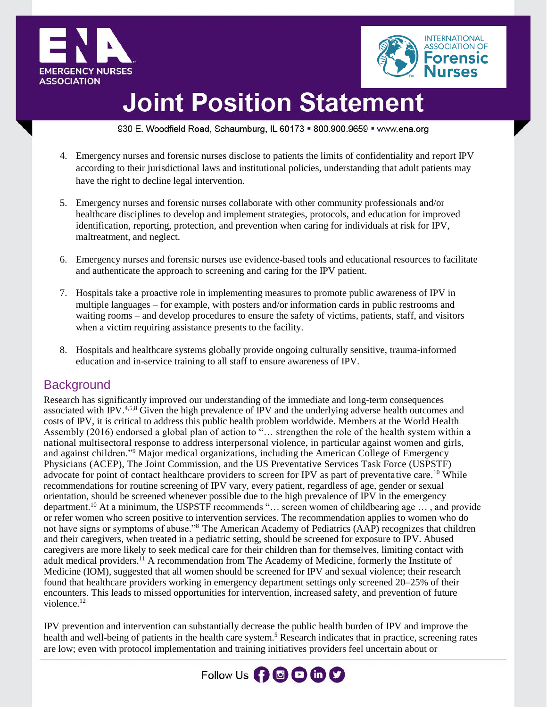



930 E. Woodfield Road, Schaumburg, IL 60173 = 800.900.9659 = www.ena.org

- 4. Emergency nurses and forensic nurses disclose to patients the limits of confidentiality and report IPV according to their jurisdictional laws and institutional policies, understanding that adult patients may have the right to decline legal intervention.
- 5. Emergency nurses and forensic nurses collaborate with other community professionals and/or healthcare disciplines to develop and implement strategies, protocols, and education for improved identification, reporting, protection, and prevention when caring for individuals at risk for IPV, maltreatment, and neglect.
- 6. Emergency nurses and forensic nurses use evidence-based tools and educational resources to facilitate and authenticate the approach to screening and caring for the IPV patient.
- 7. Hospitals take a proactive role in implementing measures to promote public awareness of IPV in multiple languages – for example, with posters and/or information cards in public restrooms and waiting rooms – and develop procedures to ensure the safety of victims, patients, staff, and visitors when a victim requiring assistance presents to the facility.
- 8. Hospitals and healthcare systems globally provide ongoing culturally sensitive, trauma-informed education and in-service training to all staff to ensure awareness of IPV.

### **Background**

Research has significantly improved our understanding of the immediate and long-term consequences associated with IPV.<sup>4,5,8</sup> Given the high prevalence of IPV and the underlying adverse health outcomes and costs of IPV, it is critical to address this public health problem worldwide. Members at the World Health Assembly (2016) endorsed a global plan of action to "... strengthen the role of the health system within a national multisectoral response to address interpersonal violence, in particular against women and girls, and against children."<sup>9</sup> Major medical organizations, including the American College of Emergency Physicians (ACEP), The Joint Commission, and the US Preventative Services Task Force (USPSTF) advocate for point of contact healthcare providers to screen for IPV as part of preventative care.<sup>10</sup> While recommendations for routine screening of IPV vary, every patient, regardless of age, gender or sexual orientation, should be screened whenever possible due to the high prevalence of IPV in the emergency department.<sup>10</sup> At a minimum, the USPSTF recommends "… screen women of childbearing age … , and provide or refer women who screen positive to intervention services. The recommendation applies to women who do not have signs or symptoms of abuse."<sup>8</sup> The American Academy of Pediatrics (AAP) recognizes that children and their caregivers, when treated in a pediatric setting, should be screened for exposure to IPV. Abused caregivers are more likely to seek medical care for their children than for themselves, limiting contact with adult medical providers.<sup>11</sup> A recommendation from The Academy of Medicine, formerly the Institute of Medicine (IOM), suggested that all women should be screened for IPV and sexual violence; their research found that healthcare providers working in emergency department settings only screened 20–25% of their encounters. This leads to missed opportunities for intervention, increased safety, and prevention of future violence.<sup>12</sup>

IPV prevention and intervention can substantially decrease the public health burden of IPV and improve the health and well-being of patients in the health care system.<sup>5</sup> Research indicates that in practice, screening rates are low; even with protocol implementation and training initiatives providers feel uncertain about or

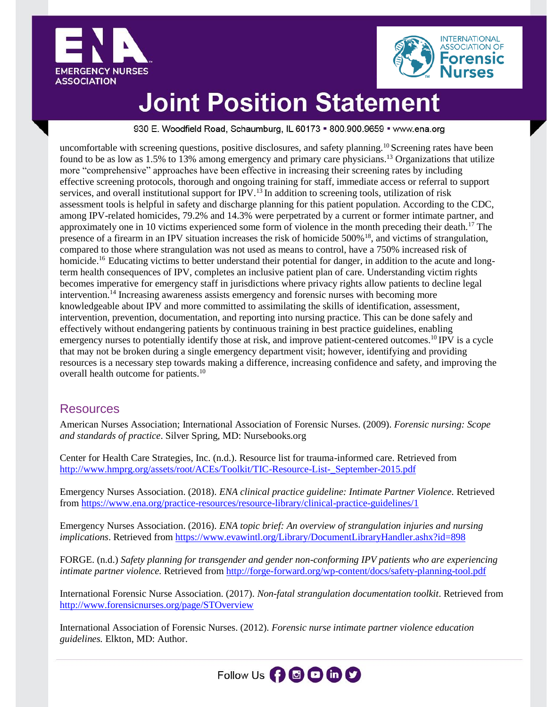



930 E. Woodfield Road, Schaumburg, IL 60173 = 800.900.9659 = www.ena.org

uncomfortable with screening questions, positive disclosures, and safety planning.<sup>10</sup> Screening rates have been found to be as low as 1.5% to 13% among emergency and primary care physicians.<sup>13</sup> Organizations that utilize more "comprehensive" approaches have been effective in increasing their screening rates by including effective screening protocols, thorough and ongoing training for staff, immediate access or referral to support services, and overall institutional support for IPV.<sup>13</sup> In addition to screening tools, utilization of risk assessment tools is helpful in safety and discharge planning for this patient population. According to the CDC, among IPV-related homicides, 79.2% and 14.3% were perpetrated by a current or former intimate partner, and approximately one in 10 victims experienced some form of violence in the month preceding their death.<sup>17</sup> The presence of a firearm in an IPV situation increases the risk of homicide 500%<sup>18</sup>, and victims of strangulation, compared to those where strangulation was not used as means to control, have a 750% increased risk of homicide.<sup>16</sup> Educating victims to better understand their potential for danger, in addition to the acute and longterm health consequences of IPV, completes an inclusive patient plan of care. Understanding victim rights becomes imperative for emergency staff in jurisdictions where privacy rights allow patients to decline legal intervention.<sup>14</sup> Increasing awareness assists emergency and forensic nurses with becoming more knowledgeable about IPV and more committed to assimilating the skills of identification, assessment, intervention, prevention, documentation, and reporting into nursing practice. This can be done safely and effectively without endangering patients by continuous training in best practice guidelines, enabling emergency nurses to potentially identify those at risk, and improve patient-centered outcomes.<sup>10</sup> IPV is a cycle that may not be broken during a single emergency department visit; however, identifying and providing resources is a necessary step towards making a difference, increasing confidence and safety, and improving the overall health outcome for patients.<sup>10</sup>

#### **Resources**

American Nurses Association; International Association of Forensic Nurses. (2009). *Forensic nursing: Scope and standards of practice*. Silver Spring, MD: Nursebooks.org

Center for Health Care Strategies, Inc. (n.d.). Resource list for trauma-informed care. Retrieved from [http://www.hmprg.org/assets/root/ACEs/Toolkit/TIC-Resource-List-\\_September-2015.pdf](http://www.hmprg.org/assets/root/ACEs/Toolkit/TIC-Resource-List-_September-2015.pdf)

Emergency Nurses Association. (2018). *ENA clinical practice guideline: Intimate Partner Violence.* Retrieved from<https://www.ena.org/practice-resources/resource-library/clinical-practice-guidelines/1>

Emergency Nurses Association. (2016). *ENA topic brief: An overview of strangulation injuries and nursing implications*. Retrieved from<https://www.evawintl.org/Library/DocumentLibraryHandler.ashx?id=898>

FORGE. (n.d.) *Safety planning for transgender and gender non-conforming IPV patients who are experiencing intimate partner violence.* Retrieved from<http://forge-forward.org/wp-content/docs/safety-planning-tool.pdf>

International Forensic Nurse Association. (2017). *Non-fatal strangulation documentation toolkit*. Retrieved from <http://www.forensicnurses.org/page/STOverview>

International Association of Forensic Nurses. (2012). *Forensic nurse intimate partner violence education guidelines.* Elkton, MD: Author.

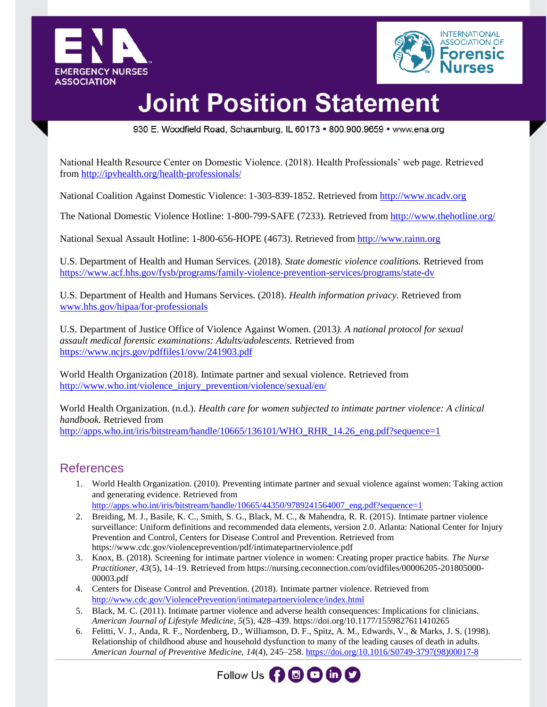



930 E. Woodfield Road, Schaumburg, IL 60173 = 800.900.9659 = www.ena.org

National Health Resource Center on Domestic Violence. (2018). Health Professionals' web page. Retrieved from<http://ipvhealth.org/health-professionals/>

National Coalition Against Domestic Violence: 1-303-839-1852. Retrieved from [http://www.ncadv.org](http://www.ncadv.org/)

The National Domestic Violence Hotline: 1-800-799-SAFE (7233). Retrieved from<http://www.thehotline.org/>

National Sexual Assault Hotline: 1-800-656-HOPE (4673). Retrieved from [http://www.rainn.org](http://www.rainn.org/)

U.S. Department of Health and Human Services. (2018). *State domestic violence coalitions.* Retrieved from <https://www.acf.hhs.gov/fysb/programs/family-violence-prevention-services/programs/state-dv>

U.S. Department of Health and Humans Services. (2018). *Health information privacy.* Retrieved from [www.hhs.gov/hipaa/for-professionals](http://www.hhs.gov/hipaa/for-professionals)

U.S. Department of Justice Office of Violence Against Women. (2013*). A national protocol for sexual assault medical forensic examinations: Adults/adolescents.* Retrieved from [https://www.ncjrs.gov/pdffiles1/ovw/241903.pdf](https://urldefense.proofpoint.com/v2/url?u=https-3A__www.ncjrs.gov_pdffiles1_ovw_241903.pdf&d=DwMFAg&c=heEcP2AsrLOv4XP8e7I9NA&r=cNokB9UMHtSHcGmBs2dyx9d6uCubhPBMN3opqDlUkIE&m=hmLnZb8SsAWuTpuskPZufWr0GjCwTVzSfflruclxEAs&s=szgi1APgH3d_rN7Orct-ySu3hUjNBuKvxcvBgWyDppk&e=)

World Health Organization (2018). Intimate partner and sexual violence. Retrieved from [http://www.who.int/violence\\_injury\\_prevention/violence/sexual/en/](http://www.who.int/violence_injury_prevention/violence/sexual/en/)

World Health Organization. (n.d.). *Health care for women subjected to intimate partner violence: A clinical handbook.* Retrieved from [http://apps.who.int/iris/bitstream/handle/10665/136101/WHO\\_RHR\\_14.26\\_eng.pdf?sequence=1](http://apps.who.int/iris/bitstream/handle/10665/136101/WHO_RHR_14.26_eng.pdf?sequence=1)

#### References

1. World Health Organization. (2010). Preventing intimate partner and sexual violence against women: Taking action and generating evidence. Retrieved from

[http://apps.who.int/iris/bitstream/handle/10665/44350/9789241564007\\_eng.pdf?sequence=1](http://apps.who.int/iris/bitstream/handle/10665/44350/9789241564007_eng.pdf?sequence=1)

- 2. Breiding, M. J., Basile, K. C., Smith, S. G., Black, M. C., & Mahendra, R. R. (2015). Intimate partner violence surveillance: Uniform definitions and recommended data elements, version 2.0. Atlanta: National Center for Injury Prevention and Control, Centers for Disease Control and Prevention. Retrieved from https://www.cdc.gov/violenceprevention/pdf/intimatepartnerviolence.pdf
- 3. Knox, B. (2018). Screening for intimate partner violence in women: Creating proper practice habits. *The Nurse Practitioner*, *43*(5), 14–19. Retrieved from https://nursing.ceconnection.com/ovidfiles/00006205-201805000- 00003.pdf
- 4. Centers for Disease Control and Prevention. (2018). Intimate partner violence. Retrieved from <http://www.cdc.gov/ViolencePrevention/intimatepartnerviolence/index.html>
- 5. Black, M. C. (2011). Intimate partner violence and adverse health consequences: Implications for clinicians. *American Journal of Lifestyle Medicine*, *5*(5), 428–439. https://doi.org/10.1177/1559827611410265
- 6. Felitti, V. J., Anda, R. F., Nordenberg, D., Williamson, D. F., Spitz, A. M., Edwards, V., & Marks, J. S. (1998). Relationship of childhood abuse and household dysfunction to many of the leading causes of death in adults. *American Journal of Preventive Medicine, 14*(4), 245–258. [https://doi.org/10.1016/S0749-3797\(98\)00017-8](https://doi.org/10.1016/S0749-3797(98)00017-8)

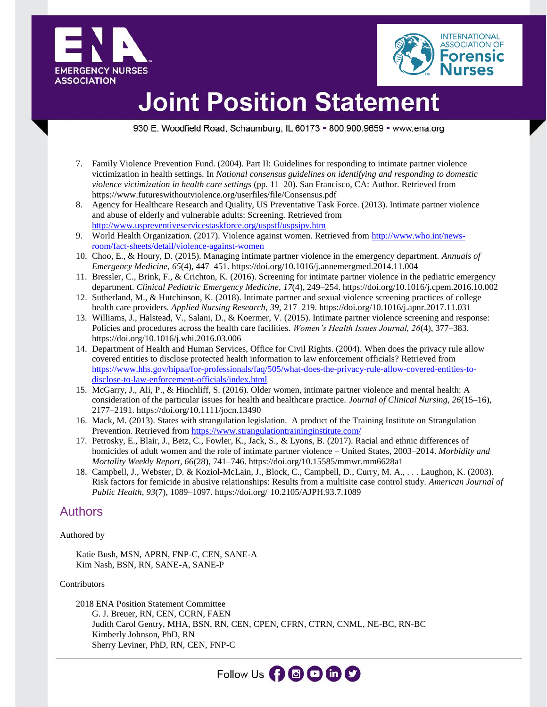



930 E. Woodfield Road, Schaumburg, IL 60173 = 800.900.9659 = www.ena.org

- 7. Family Violence Prevention Fund. (2004). Part II: Guidelines for responding to intimate partner violence victimization in health settings. In *National consensus guidelines on identifying and responding to domestic violence victimization in health care settings* (pp. 11–20). San Francisco, CA: Author. Retrieved from https://www.futureswithoutviolence.org/userfiles/file/Consensus.pdf
- 8. Agency for Healthcare Research and Quality, US Preventative Task Force. (2013). Intimate partner violence and abuse of elderly and vulnerable adults: Screening*.* Retrieved from <http://www.uspreventiveservicestaskforce.org/uspstf/uspsipv.htm>
- 9. World Health Organization. (2017). Violence against women. Retrieved from [http://www.who.int/news](http://www.who.int/news-room/fact-sheets/detail/violence-against-women)[room/fact-sheets/detail/violence-against-women](http://www.who.int/news-room/fact-sheets/detail/violence-against-women)
- 10. Choo, E., & Houry, D. (2015). Managing intimate partner violence in the emergency department. *Annuals of Emergency Medicine, 65*(4), 447–451. https://doi.org/10.1016/j.annemergmed.2014.11.004
- 11. Bressler, C., Brink, F., & Crichton, K. (2016). Screening for intimate partner violence in the pediatric emergency department. *Clinical Pediatric Emergency Medicine*, *17*(4), 249–254. https://doi.org/10.1016/j.cpem.2016.10.002
- 12. Sutherland, M., & Hutchinson, K. (2018). Intimate partner and sexual violence screening practices of college health care providers. *Applied Nursing Research, 39*, 217–219. https://doi.org/10.1016/j.apnr.2017.11.031
- 13. Williams, J., Halstead, V., Salani, D., & Koermer, V. (2015). Intimate partner violence screening and response: Policies and procedures across the health care facilities. *Women's Health Issues Journal, 26*(4), 377–383. https://doi.org/10.1016/j.whi.2016.03.006
- 14. Department of Health and Human Services, Office for Civil Rights. (2004). When does the privacy rule allow covered entities to disclose protected health information to law enforcement officials? Retrieved from [https://www.hhs.gov/hipaa/for-professionals/faq/505/what-does-the-privacy-rule-allow-covered-entities-to](https://www.hhs.gov/hipaa/for-professionals/faq/505/what-does-the-privacy-rule-allow-covered-entities-to-disclose-to-law-enforcement-officials/index.html)[disclose-to-law-enforcement-officials/index.html](https://www.hhs.gov/hipaa/for-professionals/faq/505/what-does-the-privacy-rule-allow-covered-entities-to-disclose-to-law-enforcement-officials/index.html)
- 15. McGarry, J., Ali, P., & Hinchliff, S. (2016). Older women, intimate partner violence and mental health: A consideration of the particular issues for health and healthcare practice. *Journal of Clinical Nursing, 26*(15–16), 2177–2191. https://doi.org/10.1111/jocn.13490
- 16. Mack, M. (2013). States with strangulation legislation. A product of the Training Institute on Strangulation Prevention. Retrieved from https://www.strangulationtraininginstitute.com/
- 17. Petrosky, E., Blair, J., Betz, C., Fowler, K., Jack, S., & Lyons, B. (2017). Racial and ethnic differences of homicides of adult women and the role of intimate partner violence – United States, 2003–2014. *Morbidity and Mortality Weekly Report, 66*(28), 741–746. https://doi.org/10.15585/mmwr.mm6628a1
- 18. Campbell, J., Webster, D. & Koziol-McLain, J., Block, C., Campbell, D., Curry, M. A., . . . Laughon, K. (2003). Risk factors for femicide in abusive relationships: Results from a multisite case control study. *American Journal of Public Health*, *93*(7), 1089–1097. https://doi.org/ 10.2105/AJPH.93.7.1089

### Authors

#### Authored by

Katie Bush, MSN, APRN, FNP-C, CEN, SANE-A Kim Nash, BSN, RN, SANE-A, SANE-P

#### Contributors

2018 ENA Position Statement Committee G. J. Breuer, RN, CEN, CCRN, FAEN Judith Carol Gentry, MHA, BSN, RN, CEN, CPEN, CFRN, CTRN, CNML, NE-BC, RN-BC Kimberly Johnson, PhD, RN Sherry Leviner, PhD, RN, CEN, FNP-C